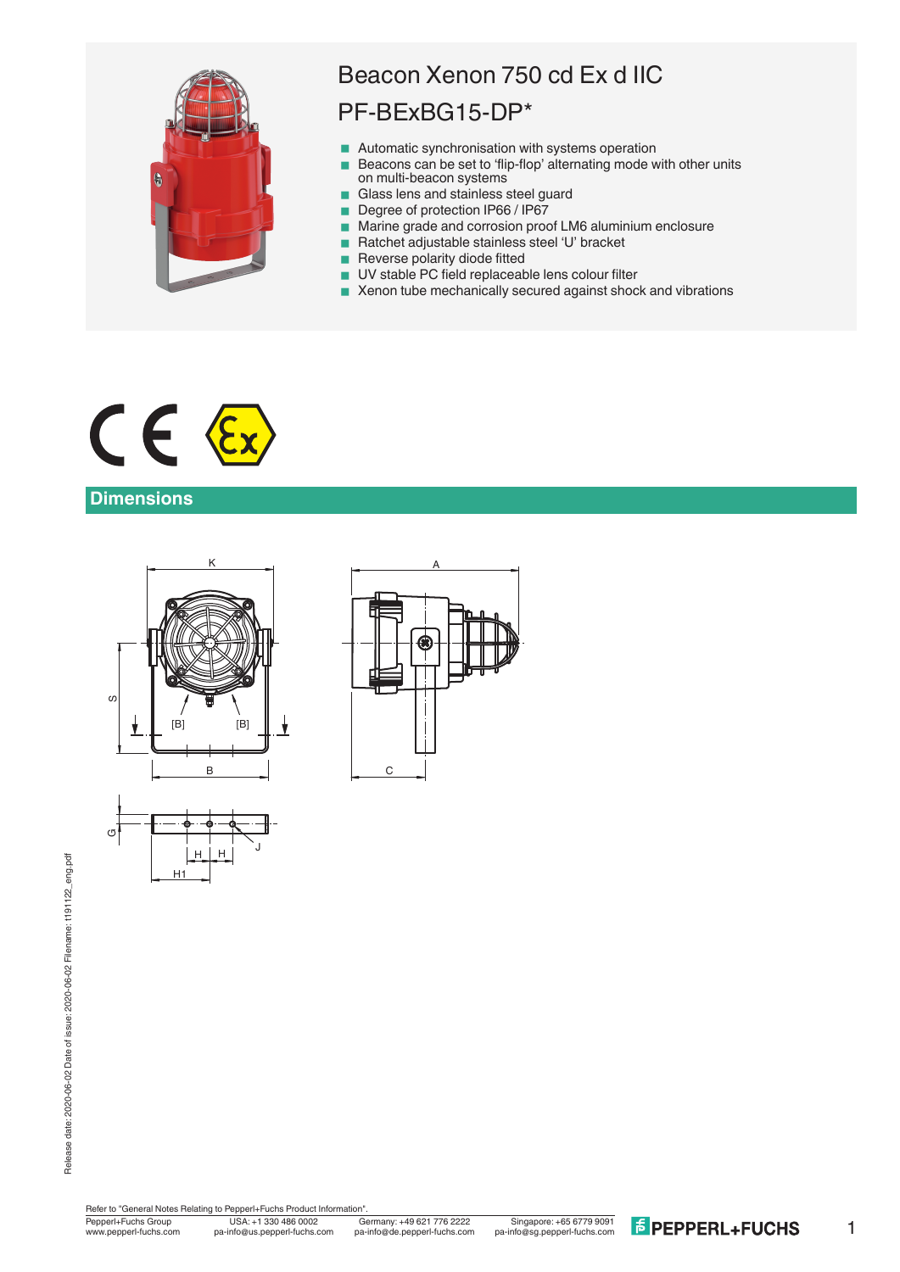

# Beacon Xenon 750 cd Ex d IIC PF-BExBG15-DP\*

- Automatic synchronisation with systems operation
- Beacons can be set to 'flip-flop' alternating mode with other units on multi-beacon systems
- Glass lens and stainless steel guard
- Degree of protection IP66 / IP67
- Marine grade and corrosion proof LM6 aluminium enclosure
- Ratchet adjustable stainless steel 'U' bracket
- **Reverse polarity diode fitted**
- UV stable PC field replaceable lens colour filter
- Xenon tube mechanically secured against shock and vibrations



## **Dimensions**



H1



Refer to "General Notes Relating to Pepperl+Fuchs Product Information"

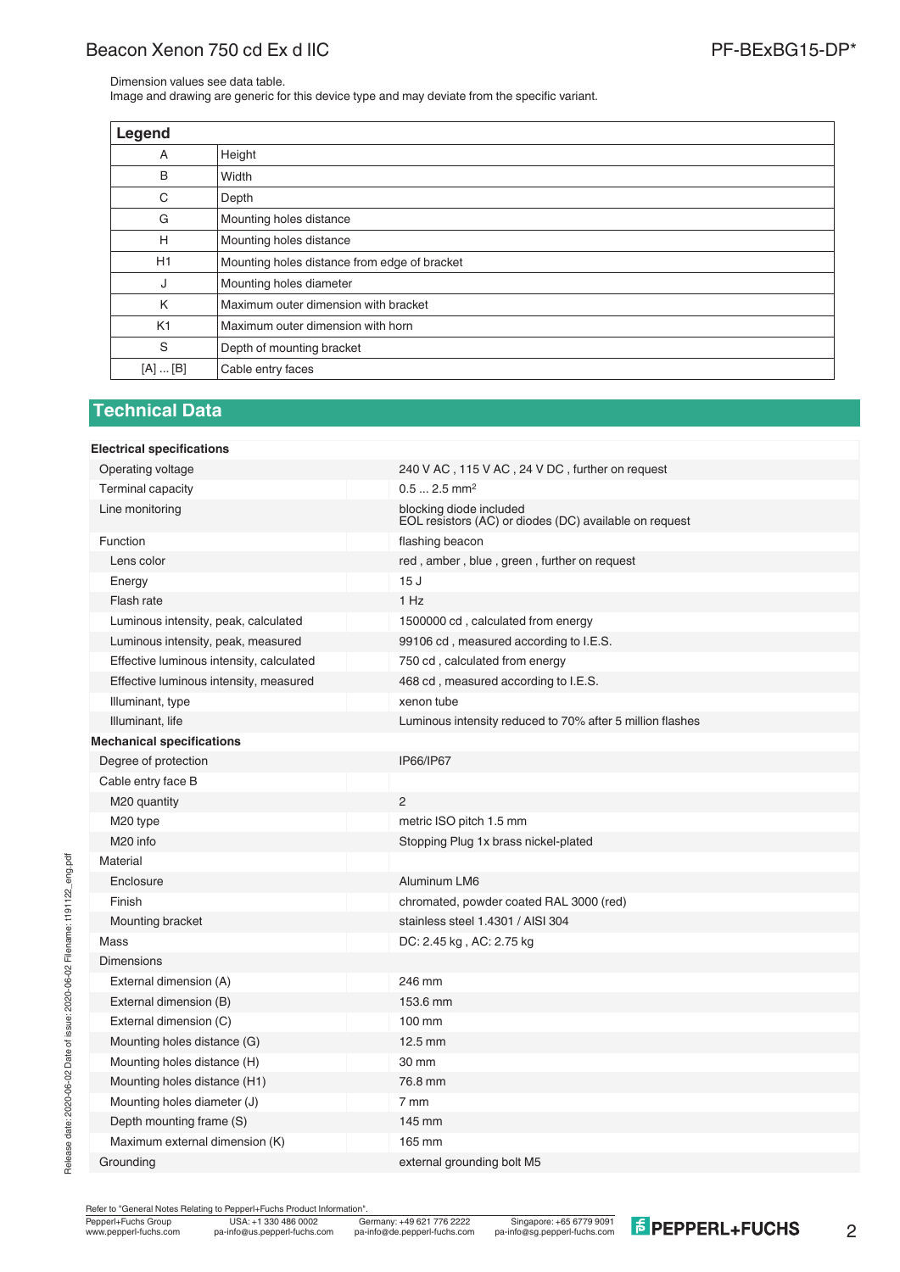# Beacon Xenon 750 cd Ex d IIC **PE-BEXBG15-DP**\*

Dimension values see data table.

Image and drawing are generic for this device type and may deviate from the specific variant.

| Legend   |                                              |
|----------|----------------------------------------------|
| A        | Height                                       |
| B        | Width                                        |
| C        | Depth                                        |
| G        | Mounting holes distance                      |
| H        | Mounting holes distance                      |
| H1       | Mounting holes distance from edge of bracket |
| J        | Mounting holes diameter                      |
| K        | Maximum outer dimension with bracket         |
| K1       | Maximum outer dimension with horn            |
| S        | Depth of mounting bracket                    |
| [A]  [B] | Cable entry faces                            |

#### **Technical Data**

| <b>Electrical specifications</b>         |                                                                                   |
|------------------------------------------|-----------------------------------------------------------------------------------|
| Operating voltage                        | 240 V AC, 115 V AC, 24 V DC, further on request                                   |
| <b>Terminal capacity</b>                 | $0.5$ 2.5 mm <sup>2</sup>                                                         |
| Line monitoring                          | blocking diode included<br>EOL resistors (AC) or diodes (DC) available on request |
| Function                                 | flashing beacon                                                                   |
| Lens color                               | red, amber, blue, green, further on request                                       |
| Energy                                   | 15J                                                                               |
| Flash rate                               | $1$ Hz                                                                            |
| Luminous intensity, peak, calculated     | 1500000 cd, calculated from energy                                                |
| Luminous intensity, peak, measured       | 99106 cd, measured according to I.E.S.                                            |
| Effective luminous intensity, calculated | 750 cd, calculated from energy                                                    |
| Effective luminous intensity, measured   | 468 cd, measured according to I.E.S.                                              |
| Illuminant, type                         | xenon tube                                                                        |
| Illuminant, life                         | Luminous intensity reduced to 70% after 5 million flashes                         |
| <b>Mechanical specifications</b>         |                                                                                   |
| Degree of protection                     | IP66/IP67                                                                         |
| Cable entry face B                       |                                                                                   |
| M <sub>20</sub> quantity                 | $\overline{2}$                                                                    |
| M <sub>20</sub> type                     | metric ISO pitch 1.5 mm                                                           |
| M <sub>20</sub> info                     | Stopping Plug 1x brass nickel-plated                                              |
| Material                                 |                                                                                   |
| Enclosure                                | Aluminum LM6                                                                      |
| Finish                                   | chromated, powder coated RAL 3000 (red)                                           |
| Mounting bracket                         | stainless steel 1.4301 / AISI 304                                                 |
| Mass                                     | DC: 2.45 kg, AC: 2.75 kg                                                          |
| <b>Dimensions</b>                        |                                                                                   |
| External dimension (A)                   | 246 mm                                                                            |
| External dimension (B)                   | 153.6 mm                                                                          |
| External dimension (C)                   | 100 mm                                                                            |
| Mounting holes distance (G)              | 12.5 mm                                                                           |
| Mounting holes distance (H)              | 30 mm                                                                             |
| Mounting holes distance (H1)             | 76.8 mm                                                                           |
| Mounting holes diameter (J)              | 7 mm                                                                              |
| Depth mounting frame (S)                 | 145 mm                                                                            |
| Maximum external dimension (K)           | 165 mm                                                                            |
| Grounding                                | external grounding bolt M5                                                        |

Refer to "General Notes Relating to Pepperl+Fuchs Product Information".

Release date: 2020-06-02 Date of issue: 2020-06-02 Filename: t191122\_eng.pdf

Release date: 2020-06-02 Date of issue: 2020-06-02 Filename: t191122\_eng.pdf